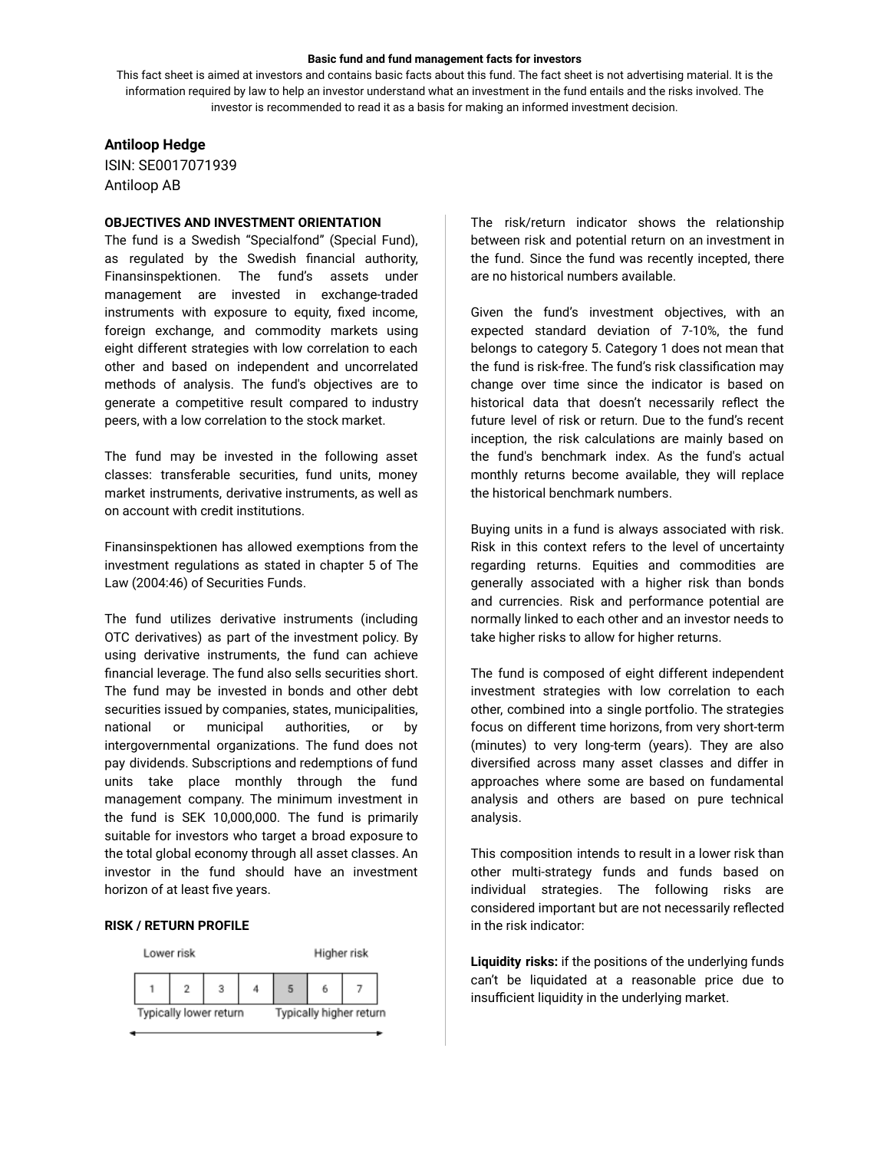#### **Basic fund and fund management facts for investors**

This fact sheet is aimed at investors and contains basic facts about this fund. The fact sheet is not advertising material. It is the information required by law to help an investor understand what an investment in the fund entails and the risks involved. The investor is recommended to read it as a basis for making an informed investment decision.

# **Antiloop Hedge**

ISIN: SE0017071939 Antiloop AB

# **OBJECTIVES AND INVESTMENT ORIENTATION**

The fund is a Swedish "Specialfond" (Special Fund), as regulated by the Swedish financial authority, Finansinspektionen. The fund's assets under management are invested in exchange-traded instruments with exposure to equity, fixed income, foreign exchange, and commodity markets using eight different strategies with low correlation to each other and based on independent and uncorrelated methods of analysis. The fund's objectives are to generate a competitive result compared to industry peers, with a low correlation to the stock market.

The fund may be invested in the following asset classes: transferable securities, fund units, money market instruments, derivative instruments, as well as on account with credit institutions.

Finansinspektionen has allowed exemptions from the investment regulations as stated in chapter 5 of The Law (2004:46) of Securities Funds.

The fund utilizes derivative instruments (including OTC derivatives) as part of the investment policy. By using derivative instruments, the fund can achieve financial leverage. The fund also sells securities short. The fund may be invested in bonds and other debt securities issued by companies, states, municipalities, national or municipal authorities, or by intergovernmental organizations. The fund does not pay dividends. Subscriptions and redemptions of fund units take place monthly through the fund management company. The minimum investment in the fund is SEK 10,000,000. The fund is primarily suitable for investors who target a broad exposure to the total global economy through all asset classes. An investor in the fund should have an investment horizon of at least five years.

# **RISK / RETURN PROFILE**



The risk/return indicator shows the relationship between risk and potential return on an investment in the fund. Since the fund was recently incepted, there are no historical numbers available.

Given the fund's investment objectives, with an expected standard deviation of 7-10%, the fund belongs to category 5. Category 1 does not mean that the fund is risk-free. The fund's risk classification may change over time since the indicator is based on historical data that doesn't necessarily reflect the future level of risk or return. Due to the fund's recent inception, the risk calculations are mainly based on the fund's benchmark index. As the fund's actual monthly returns become available, they will replace the historical benchmark numbers.

Buying units in a fund is always associated with risk. Risk in this context refers to the level of uncertainty regarding returns. Equities and commodities are generally associated with a higher risk than bonds and currencies. Risk and performance potential are normally linked to each other and an investor needs to take higher risks to allow for higher returns.

The fund is composed of eight different independent investment strategies with low correlation to each other, combined into a single portfolio. The strategies focus on different time horizons, from very short-term (minutes) to very long-term (years). They are also diversified across many asset classes and differ in approaches where some are based on fundamental analysis and others are based on pure technical analysis.

This composition intends to result in a lower risk than other multi-strategy funds and funds based on individual strategies. The following risks are considered important but are not necessarily reflected in the risk indicator:

**Liquidity risks:** if the positions of the underlying funds can't be liquidated at a reasonable price due to insufficient liquidity in the underlying market.